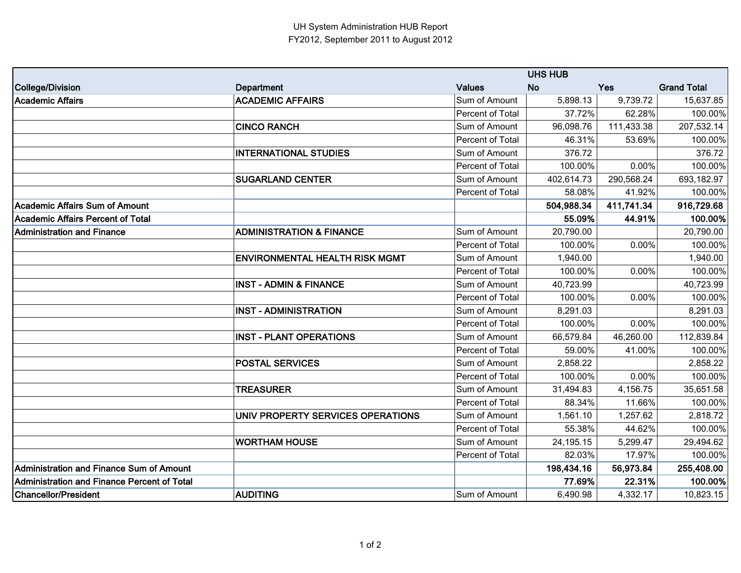|                                                    | <b>UHS HUB</b>                        |                         |            |            |                    |
|----------------------------------------------------|---------------------------------------|-------------------------|------------|------------|--------------------|
| College/Division                                   | Department                            | <b>Values</b>           | No.        | <b>Yes</b> | <b>Grand Total</b> |
| <b>Academic Affairs</b>                            | <b>ACADEMIC AFFAIRS</b>               | Sum of Amount           | 5,898.13   | 9,739.72   | 15,637.85          |
|                                                    |                                       | Percent of Total        | 37.72%     | 62.28%     | 100.00%            |
|                                                    | <b>CINCO RANCH</b>                    | Sum of Amount           | 96,098.76  | 111,433.38 | 207,532.14         |
|                                                    |                                       | Percent of Total        | 46.31%     | 53.69%     | 100.00%            |
|                                                    | <b>INTERNATIONAL STUDIES</b>          | Sum of Amount           | 376.72     |            | 376.72             |
|                                                    |                                       | Percent of Total        | 100.00%    | 0.00%      | 100.00%            |
|                                                    | <b>SUGARLAND CENTER</b>               | Sum of Amount           | 402,614.73 | 290,568.24 | 693,182.97         |
|                                                    |                                       | Percent of Total        | 58.08%     | 41.92%     | 100.00%            |
| <b>Academic Affairs Sum of Amount</b>              |                                       |                         | 504,988.34 | 411,741.34 | 916,729.68         |
| <b>Academic Affairs Percent of Total</b>           |                                       |                         | 55.09%     | 44.91%     | 100.00%            |
| <b>Administration and Finance</b>                  | <b>ADMINISTRATION &amp; FINANCE</b>   | Sum of Amount           | 20,790.00  |            | 20,790.00          |
|                                                    |                                       | Percent of Total        | 100.00%    | 0.00%      | 100.00%            |
|                                                    | <b>ENVIRONMENTAL HEALTH RISK MGMT</b> | Sum of Amount           | 1,940.00   |            | 1,940.00           |
|                                                    |                                       | <b>Percent of Total</b> | 100.00%    | 0.00%      | 100.00%            |
|                                                    | <b>INST - ADMIN &amp; FINANCE</b>     | Sum of Amount           | 40,723.99  |            | 40,723.99          |
|                                                    |                                       | Percent of Total        | 100.00%    | 0.00%      | 100.00%            |
|                                                    | <b>INST - ADMINISTRATION</b>          | Sum of Amount           | 8,291.03   |            | 8,291.03           |
|                                                    |                                       | <b>Percent of Total</b> | 100.00%    | 0.00%      | 100.00%            |
|                                                    | <b>INST - PLANT OPERATIONS</b>        | Sum of Amount           | 66,579.84  | 46,260.00  | 112,839.84         |
|                                                    |                                       | Percent of Total        | 59.00%     | 41.00%     | 100.00%            |
|                                                    | <b>POSTAL SERVICES</b>                | Sum of Amount           | 2,858.22   |            | 2,858.22           |
|                                                    |                                       | Percent of Total        | 100.00%    | 0.00%      | 100.00%            |
|                                                    | <b>TREASURER</b>                      | Sum of Amount           | 31,494.83  | 4,156.75   | 35,651.58          |
|                                                    |                                       | Percent of Total        | 88.34%     | 11.66%     | 100.00%            |
|                                                    | UNIV PROPERTY SERVICES OPERATIONS     | Sum of Amount           | 1,561.10   | 1,257.62   | 2,818.72           |
|                                                    |                                       | Percent of Total        | 55.38%     | 44.62%     | 100.00%            |
|                                                    | <b>WORTHAM HOUSE</b>                  | Sum of Amount           | 24,195.15  | 5,299.47   | 29,494.62          |
|                                                    |                                       | Percent of Total        | 82.03%     | 17.97%     | 100.00%            |
| Administration and Finance Sum of Amount           |                                       |                         | 198,434.16 | 56,973.84  | 255,408.00         |
| <b>Administration and Finance Percent of Total</b> |                                       |                         | 77.69%     | 22.31%     | 100.00%            |
| <b>Chancellor/President</b>                        | <b>AUDITING</b>                       | Sum of Amount           | 6,490.98   | 4,332.17   | 10,823.15          |